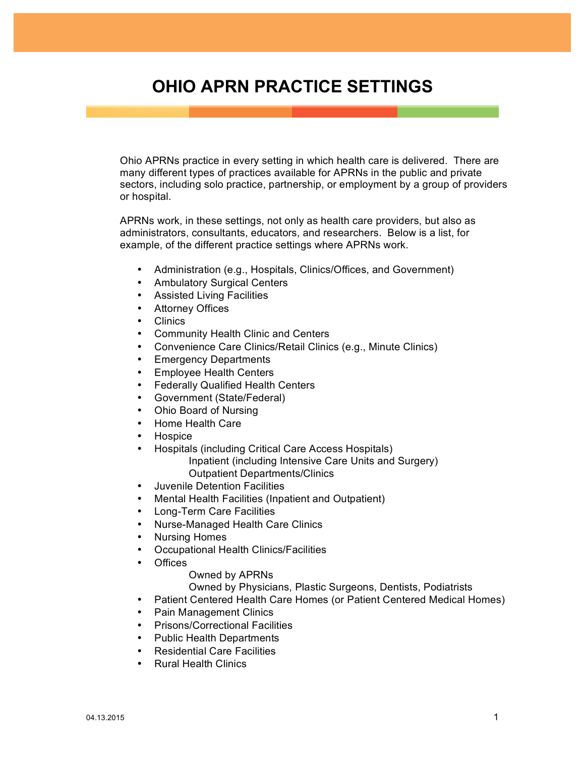## **OHIO APRN PRACTICE SETTINGS**

Ohio APRNs practice in every setting in which health care is delivered. There are many different types of practices available for APRNs in the public and private sectors, including solo practice, partnership, or employment by a group of providers or hospital.

APRNs work, in these settings, not only as health care providers, but also as administrators, consultants, educators, and researchers. Below is a list, for example, of the different practice settings where APRNs work.

- Administration (e.g., Hospitals, Clinics/Offices, and Government)
- Ambulatory Surgical Centers
- Assisted Living Facilities
- **Attorney Offices**
- Clinics
- Community Health Clinic and Centers
- Convenience Care Clinics/Retail Clinics (e.g., Minute Clinics)
- Emergency Departments
- Employee Health Centers
- Federally Qualified Health Centers
- Government (State/Federal)
- Ohio Board of Nursing
- Home Health Care
- Hospice
- Hospitals (including Critical Care Access Hospitals) Inpatient (including Intensive Care Units and Surgery) Outpatient Departments/Clinics
- Juvenile Detention Facilities
- Mental Health Facilities (Inpatient and Outpatient)
- Long-Term Care Facilities
- Nurse-Managed Health Care Clinics
- Nursing Homes
- Occupational Health Clinics/Facilities
- Offices
	- Owned by APRNs

Owned by Physicians, Plastic Surgeons, Dentists, Podiatrists

- Patient Centered Health Care Homes (or Patient Centered Medical Homes)
- Pain Management Clinics
- Prisons/Correctional Facilities
- Public Health Departments
- Residential Care Facilities
- Rural Health Clinics